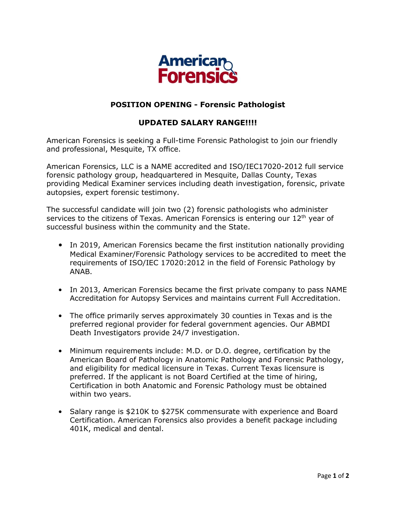

## **POSITION OPENING - Forensic Pathologist**

## **UPDATED SALARY RANGE!!!!**

American Forensics is seeking a Full-time Forensic Pathologist to join our friendly and professional, Mesquite, TX office.

American Forensics, LLC is a NAME accredited and ISO/IEC17020-2012 full service forensic pathology group, headquartered in Mesquite, Dallas County, Texas providing Medical Examiner services including death investigation, forensic, private autopsies, expert forensic testimony.

The successful candidate will join two (2) forensic pathologists who administer services to the citizens of Texas. American Forensics is entering our 12<sup>th</sup> year of successful business within the community and the State.

- In 2019, American Forensics became the first institution nationally providing Medical Examiner/Forensic Pathology services to be accredited to meet the requirements of ISO/IEC 17020:2012 in the field of Forensic Pathology by ANAB.
- In 2013, American Forensics became the first private company to pass NAME Accreditation for Autopsy Services and maintains current Full Accreditation.
- The office primarily serves approximately 30 counties in Texas and is the preferred regional provider for federal government agencies. Our ABMDI Death Investigators provide 24/7 investigation.
- Minimum requirements include: M.D. or D.O. degree, certification by the American Board of Pathology in Anatomic Pathology and Forensic Pathology, and eligibility for medical licensure in Texas. Current Texas licensure is preferred. If the applicant is not Board Certified at the time of hiring, Certification in both Anatomic and Forensic Pathology must be obtained within two years.
- Salary range is \$210K to \$275K commensurate with experience and Board Certification. American Forensics also provides a benefit package including 401K, medical and dental.